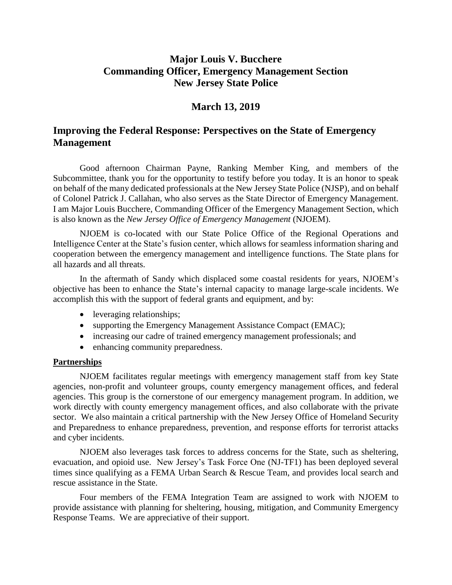# **Major Louis V. Bucchere Commanding Officer, Emergency Management Section New Jersey State Police**

### **March 13, 2019**

## **Improving the Federal Response: Perspectives on the State of Emergency Management**

Good afternoon Chairman Payne, Ranking Member King, and members of the Subcommittee, thank you for the opportunity to testify before you today. It is an honor to speak on behalf of the many dedicated professionals at the New Jersey State Police (NJSP), and on behalf of Colonel Patrick J. Callahan, who also serves as the State Director of Emergency Management. I am Major Louis Bucchere, Commanding Officer of the Emergency Management Section, which is also known as the *New Jersey Office of Emergency Management* (NJOEM).

NJOEM is co-located with our State Police Office of the Regional Operations and Intelligence Center at the State's fusion center, which allows for seamless information sharing and cooperation between the emergency management and intelligence functions. The State plans for all hazards and all threats.

In the aftermath of Sandy which displaced some coastal residents for years, NJOEM's objective has been to enhance the State's internal capacity to manage large-scale incidents. We accomplish this with the support of federal grants and equipment, and by:

- leveraging relationships;
- supporting the Emergency Management Assistance Compact (EMAC);
- increasing our cadre of trained emergency management professionals; and
- enhancing community preparedness.

#### **Partnerships**

NJOEM facilitates regular meetings with emergency management staff from key State agencies, non-profit and volunteer groups, county emergency management offices, and federal agencies. This group is the cornerstone of our emergency management program. In addition, we work directly with county emergency management offices, and also collaborate with the private sector. We also maintain a critical partnership with the New Jersey Office of Homeland Security and Preparedness to enhance preparedness, prevention, and response efforts for terrorist attacks and cyber incidents.

NJOEM also leverages task forces to address concerns for the State, such as sheltering, evacuation, and opioid use. New Jersey's Task Force One (NJ-TF1) has been deployed several times since qualifying as a FEMA Urban Search & Rescue Team, and provides local search and rescue assistance in the State.

Four members of the FEMA Integration Team are assigned to work with NJOEM to provide assistance with planning for sheltering, housing, mitigation, and Community Emergency Response Teams. We are appreciative of their support.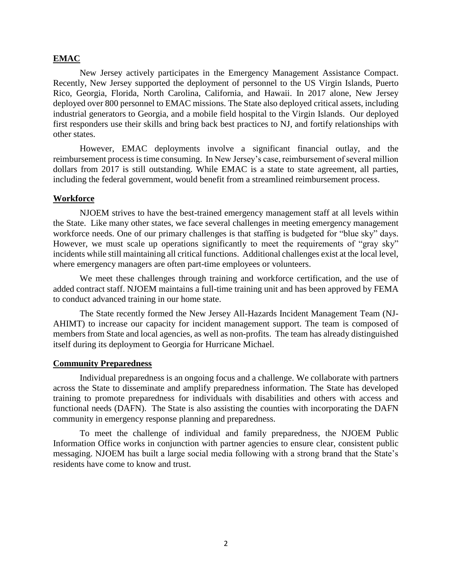#### **EMAC**

New Jersey actively participates in the Emergency Management Assistance Compact. Recently, New Jersey supported the deployment of personnel to the US Virgin Islands, Puerto Rico, Georgia, Florida, North Carolina, California, and Hawaii. In 2017 alone, New Jersey deployed over 800 personnel to EMAC missions. The State also deployed critical assets, including industrial generators to Georgia, and a mobile field hospital to the Virgin Islands. Our deployed first responders use their skills and bring back best practices to NJ, and fortify relationships with other states.

However, EMAC deployments involve a significant financial outlay, and the reimbursement process is time consuming. In New Jersey's case, reimbursement of several million dollars from 2017 is still outstanding. While EMAC is a state to state agreement, all parties, including the federal government, would benefit from a streamlined reimbursement process.

#### **Workforce**

NJOEM strives to have the best-trained emergency management staff at all levels within the State. Like many other states, we face several challenges in meeting emergency management workforce needs. One of our primary challenges is that staffing is budgeted for "blue sky" days. However, we must scale up operations significantly to meet the requirements of "gray sky" incidents while still maintaining all critical functions. Additional challenges exist at the local level, where emergency managers are often part-time employees or volunteers.

We meet these challenges through training and workforce certification, and the use of added contract staff. NJOEM maintains a full-time training unit and has been approved by FEMA to conduct advanced training in our home state.

The State recently formed the New Jersey All-Hazards Incident Management Team (NJ-AHIMT) to increase our capacity for incident management support. The team is composed of members from State and local agencies, as well as non-profits. The team has already distinguished itself during its deployment to Georgia for Hurricane Michael.

### **Community Preparedness**

Individual preparedness is an ongoing focus and a challenge. We collaborate with partners across the State to disseminate and amplify preparedness information. The State has developed training to promote preparedness for individuals with disabilities and others with access and functional needs (DAFN). The State is also assisting the counties with incorporating the DAFN community in emergency response planning and preparedness.

To meet the challenge of individual and family preparedness, the NJOEM Public Information Office works in conjunction with partner agencies to ensure clear, consistent public messaging. NJOEM has built a large social media following with a strong brand that the State's residents have come to know and trust.